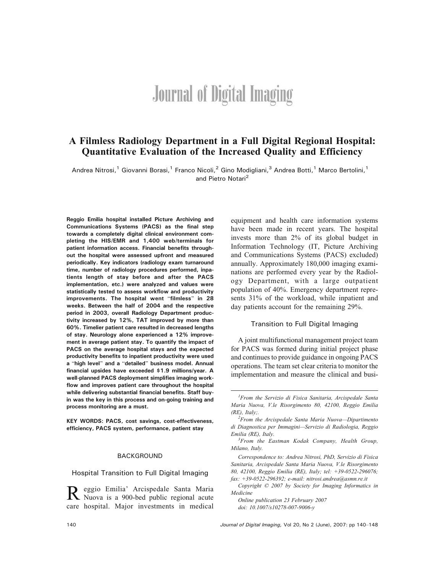# **Journal of Digital Imaging**

# A Filmless Radiology Department in a Full Digital Regional Hospital: Quantitative Evaluation of the Increased Quality and Efficiency

Andrea Nitrosi,<sup>1</sup> Giovanni Borasi,<sup>1</sup> Franco Nicoli,<sup>2</sup> Gino Modigliani,<sup>3</sup> Andrea Botti,<sup>1</sup> Marco Bertolini,<sup>1</sup> and Pietro Notari<sup>2</sup>

Reggio Emilia hospital installed Picture Archiving and Communications Systems (PACS) as the final step towards a completely digital clinical environment completing the HIS/EMR and 1,400 web/terminals for patient information access. Financial benefits throughout the hospital were assessed upfront and measured periodically. Key indicators (radiology exam turnaround time, number of radiology procedures performed, inpatients length of stay before and after the PACS implementation, etc.) were analyzed and values were statistically tested to assess workflow and productivity improvements. The hospital went "filmless" in 28 weeks. Between the half of 2004 and the respective period in 2003, overall Radiology Department productivity increased by 12%, TAT improved by more than 60%. Timelier patient care resulted in decreased lengths of stay. Neurology alone experienced a 12% improvement in average patient stay. To quantify the impact of PACS on the average hospital stays and the expected productivity benefits to inpatient productivity were used a "high level" and a "detailed" business model. Annual financial upsides have exceeded \$1.9 millions/year. A well-planned PACS deployment simplifies imaging workflow and improves patient care throughout the hospital while delivering substantial financial benefits. Staff buyin was the key in this process and on-going training and process monitoring are a must.

KEY WORDS: PACS, cost savings, cost-effectiveness, efficiency, PACS system, performance, patient stay

#### BACKGROUND

Hospital Transition to Full Digital Imaging

R eggio Emilia' Arcispedale Santa Maria<br>Nuova is a 900-bed public regional acute care hospital. Major investments in medical equipment and health care information systems have been made in recent years. The hospital invests more than 2% of its global budget in Information Technology (IT, Picture Archiving and Communications Systems (PACS) excluded) annually. Approximately 180,000 imaging examinations are performed every year by the Radiology Department, with a large outpatient population of 40%. Emergency department represents 31% of the workload, while inpatient and day patients account for the remaining 29%.

### Transition to Full Digital Imaging

A joint multifunctional management project team for PACS was formed during initial project phase and continues to provide guidance in ongoing PACS operations. The team set clear criteria to monitor the implementation and measure the clinical and busi-

Correspondence to: Andrea Nitrosi, PhD, Servizio di Fisica Sanitaria, Arcispedale Santa Maria Nuova, V.le Risorgimento 80, 42100, Reggio Emilia (RE), Italy; tel: +39-0522-296076; fax: +39-0522-296392; e-mail: nitrosi.andrea@asmn.re.it

Copyright  $O$  2007 by Society for Imaging Informatics in Medicine

Online publication 23 February 2007 doi: 10.1007/s10278-007-9006-y

<sup>&</sup>lt;sup>1</sup>From the Servizio di Fisica Sanitaria, Arcispedale Santa Maria Nuova, V.le Risorgimento 80, 42100, Reggio Emilia  $(RE)$ , Italy;

 $2$ From the Arcispedale Santa Maria Nuova-Dipartimento di Diagnostica per Immagini—Servizio di Radiologia, Reggio Emilia (RE), Italy. <sup>3</sup>

 ${}^{3}$ From the Eastman Kodak Company, Health Group, Milano, Italy.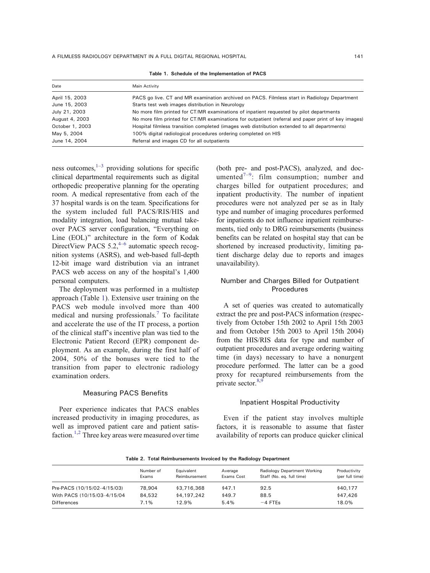Table 1. Schedule of the Implementation of PACS

<span id="page-1-0"></span>

| Date            | Main Activity                                                                                       |
|-----------------|-----------------------------------------------------------------------------------------------------|
| April 15, 2003  | PACS go live. CT and MR examination archived on PACS. Filmless start in Radiology Department        |
| June 15, 2003   | Starts test web images distribution in Neurology                                                    |
| July 21, 2003   | No more film printed for CT/MR examinations of inpatient requested by pilot departments             |
| August 4, 2003  | No more film printed for CT/MR examinations for outpatient (referral and paper print of key images) |
| October 1, 2003 | Hospital filmless transition completed (images web distribution extended to all departments)        |
| May 5, 2004     | 100% digital radiological procedures ordering completed on HIS                                      |
| June 14, 2004   | Referral and images CD for all outpatients                                                          |

ness outcomes, $1-3$  $1-3$  providing solutions for specific clinical departmental requirements such as digital orthopedic preoperative planning for the operating room. A medical representative from each of the 37 hospital wards is on the team. Specifications for the system included full PACS/RIS/HIS and modality integration, load balancing mutual takeover PACS server configuration, "Everything on Line (EOL)" architecture in the form of Kodak DirectView PACS 5.2, $4-6$  $4-6$  automatic speech recognition systems (ASRS), and web-based full-depth 12-bit image ward distribution via an intranet PACS web access on any of the hospital's 1,400 personal computers.

The deployment was performed in a multistep approach (Table 1). Extensive user training on the PACS web module involved more than 400 medical and nursing professionals.<sup>[7](#page-8-0)</sup> To facilitate and accelerate the use of the IT process, a portion of the clinical staff's incentive plan was tied to the Electronic Patient Record (EPR) component deployment. As an example, during the first half of 2004, 50% of the bonuses were tied to the transition from paper to electronic radiology examination orders.

## Measuring PACS Benefits

Peer experience indicates that PACS enables increased productivity in imaging procedures, as well as improved patient care and patient satis-faction.<sup>[1,2](#page-8-0)</sup> Three key areas were measured over time (both pre- and post-PACS), analyzed, and doc-umented<sup>[7](#page-8-0)-[9](#page-8-0)</sup>: film consumption; number and charges billed for outpatient procedures; and inpatient productivity. The number of inpatient procedures were not analyzed per se as in Italy type and number of imaging procedures performed for inpatients do not influence inpatient reimbursements, tied only to DRG reimbursements (business benefits can be related on hospital stay that can be shortened by increased productivity, limiting patient discharge delay due to reports and images unavailability).

## Number and Charges Billed for Outpatient Procedures

A set of queries was created to automatically extract the pre and post-PACS information (respectively from October 15th 2002 to April 15th 2003 and from October 15th 2003 to April 15th 2004) from the HIS/RIS data for type and number of outpatient procedures and average ordering waiting time (in days) necessary to have a nonurgent procedure performed. The latter can be a good proxy for recaptured reimbursements from the private sector. $8,9$ 

#### Inpatient Hospital Productivity

Even if the patient stay involves multiple factors, it is reasonable to assume that faster availability of reports can produce quicker clinical

|                             | Number of<br>Exams | Equivalent<br>Reimbursement | Average<br>Exams Cost | Radiology Department Working<br>Staff (No. eq. full time) | Productivity<br>(per full time) |
|-----------------------------|--------------------|-----------------------------|-----------------------|-----------------------------------------------------------|---------------------------------|
| Pre-PACS (10/15/02-4/15/03) | 78,904             | \$3,716,368                 | \$47.1                | 92.5                                                      | \$40.177                        |
| With PACS (10/15/03-4/15/04 | 84,532             | \$4,197,242                 | \$49.7                | 88.5                                                      | \$47,426                        |
| Differences                 | 7.1%               | 12.9%                       | 5.4%                  | $-4$ FTEs                                                 | 18.0%                           |

Table 2. Total Reimbursements Invoiced by the Radiology Department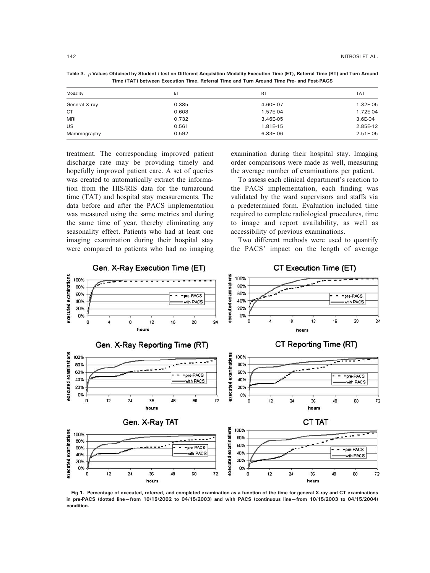| Modality      | ET    | <b>RT</b> | <b>TAT</b> |
|---------------|-------|-----------|------------|
| General X-ray | 0.385 | 4.60E-07  | 1.32E-05   |
| <b>CT</b>     | 0.608 | 1.57E-04  | 1.72E-04   |
| <b>MRI</b>    | 0.732 | 3.46E-05  | 3.6E-04    |
| US            | 0.561 | 1.81E-15  | 2.85E-12   |
| Mammography   | 0.592 | 6.83E-06  | 2.51E-05   |

<span id="page-2-0"></span>Table 3.  $p$  Values Obtained by Student t test on Different Acquisition Modality Execution Time (ET), Referral Time (RT) and Turn Around Time (TAT) between Execution Time, Referral Time and Turn Around Time Pre- and Post-PACS

treatment. The corresponding improved patient discharge rate may be providing timely and hopefully improved patient care. A set of queries was created to automatically extract the information from the HIS/RIS data for the turnaround time (TAT) and hospital stay measurements. The data before and after the PACS implementation was measured using the same metrics and during the same time of year, thereby eliminating any seasonality effect. Patients who had at least one imaging examination during their hospital stay were compared to patients who had no imaging

examination during their hospital stay. Imaging order comparisons were made as well, measuring the average number of examinations per patient.

To assess each clinical department's reaction to the PACS implementation, each finding was validated by the ward supervisors and staffs via a predetermined form. Evaluation included time required to complete radiological procedures, time to image and report availability, as well as accessibility of previous examinations.

Two different methods were used to quantify the PACS' impact on the length of average



Fig 1. Percentage of executed, referred, and completed examination as a function of the time for general X-ray and CT examinations in pre-PACS (dotted line—from 10/15/2002 to 04/15/2003) and with PACS (continuous line—from 10/15/2003 to 04/15/2004) condition.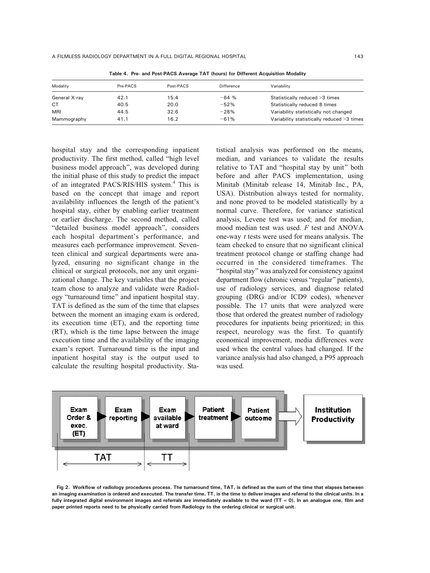<span id="page-3-0"></span>A FILMLESS RADIOLOGY DEPARTMENT IN A FULL DIGITAL REGIONAL HOSPITAL 143

Modality Pre-PACS Post-PACS Difference Variability General X-ray  $42.1$   $15.4$   $-64$  % Statistically reduced >3 times CT 40.5 20.0 -52% Statistically reduced 8 times MRI 644.5 32.6 <sup>-28%</sup> Variability statistically not changed variability statistically not changed Mammography 41.1 16.2 - 61% Variability statistically reduced >3 times

Table 4. Pre- and Post-PACS Average TAT (hours) for Different Acquisition Modality

hospital stay and the corresponding inpatient productivity. The first method, called "high level business model approach", was developed during the initial phase of this study to predict the impact of an integrated PACS/RIS/HIS system.<sup>[4](#page-8-0)</sup> This is based on the concept that image and report availability influences the length of the patient's hospital stay, either by enabling earlier treatment or earlier discharge. The second method, called "detailed business model approach", considers each hospital department's performance, and measures each performance improvement. Seventeen clinical and surgical departments were analyzed, ensuring no significant change in the clinical or surgical protocols, nor any unit organizational change. The key variables that the project team chose to analyze and validate were Radiology "turnaround time" and inpatient hospital stay. TAT is defined as the sum of the time that elapses between the moment an imaging exam is ordered, its execution time (ET), and the reporting time (RT), which is the time lapse between the image execution time and the availability of the imaging exam's report. Turnaround time is the input and inpatient hospital stay is the output used to calculate the resulting hospital productivity. Statistical analysis was performed on the means, median, and variances to validate the results relative to TAT and "hospital stay by unit" both before and after PACS implementation, using Minitab (Minitab release 14, Minitab Inc., PA, USA). Distribution always tested for normality, and none proved to be modeled statistically by a normal curve. Therefore, for variance statistical analysis, Levene test was used; and for median, mood median test was used. F test and ANOVA one-way t tests were used for means analysis. The team checked to ensure that no significant clinical treatment protocol change or staffing change had occurred in the considered timeframes. The "hospital stay" was analyzed for consistency against department flow (chronic versus "regular" patients), use of radiology services, and diagnose related grouping (DRG and/or ICD9 codes), whenever possible. The 17 units that were analyzed were those that ordered the greatest number of radiology procedures for inpatients being prioritized; in this respect, neurology was the first. To quantify economical improvement, media differences were used when the central values had changed. If the variance analysis had also changed, a P95 approach was used.



Fig 2. Workflow of radiology procedures process. The turnaround time, TAT, is defined as the sum of the time that elapses between an imaging examination is ordered and executed. The transfer time, TT, is the time to deliver images and referral to the clinical units. In a fully integrated digital environment images and referrals are immediately available to the ward (TT = 0). In an analogue one, film and paper printed reports need to be physically carried from Radiology to the ordering clinical or surgical unit.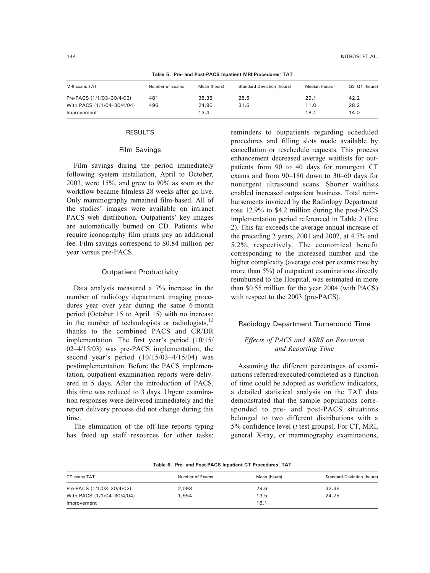<span id="page-4-0"></span>

| MRI scans TAT              | Number of Exams | Mean (hours) | <b>Standard Deviation (hours)</b> | Median (hours) | $Q3-Q1$ (hours) |  |  |
|----------------------------|-----------------|--------------|-----------------------------------|----------------|-----------------|--|--|
| Pre-PACS (1/1/03-30/4/03)  | 481             | 38.35        | 28.5                              | 29.1           | 42.2            |  |  |
| With PACS (1/1/04-30/4/04) | 496             | 24.90        | 31.6                              | 11.0           | 28.2            |  |  |
| Improvement                |                 | 13.4         |                                   | 18.1           | 14.0            |  |  |

Table 5. Pre- and Post-PACS Inpatient MRI Procedures\_ TAT

#### RESULTS

#### Film Savings

Film savings during the period immediately following system installation, April to October, 2003, were 15%, and grew to 90% as soon as the workflow became filmless 28 weeks after go live. Only mammography remained film-based. All of the studies' images were available on intranet PACS web distribution. Outpatients' key images are automatically burned on CD. Patients who require iconography film prints pay an additional fee. Film savings correspond to \$0.84 million per year versus pre-PACS.

## Outpatient Productivity

Data analysis measured a 7% increase in the number of radiology department imaging procedures year over year during the same 6-month period (October 15 to April 15) with no increase in the number of technologists or radiologists, $^{13}$  $^{13}$  $^{13}$ thanks to the combined PACS and CR/DR implementation. The first year's period (10/15/  $02-4/15/03$ ) was pre-PACS implementation; the second year's period  $(10/15/03-4/15/04)$  was postimplementation. Before the PACS implementation, outpatient examination reports were delivered in 5 days. After the introduction of PACS, this time was reduced to 3 days. Urgent examination responses were delivered immediately and the report delivery process did not change during this time.

The elimination of the off-line reports typing has freed up staff resources for other tasks: reminders to outpatients regarding scheduled procedures and filling slots made available by cancellation or reschedule requests. This process enhancement decreased average waitlists for outpatients from 90 to 40 days for nonurgent CT exams and from  $90-180$  down to  $30-60$  days for nonurgent ultrasound scans. Shorter waitlists enabled increased outpatient business. Total reimbursements invoiced by the Radiology Department rose 12.9% to \$4.2 million during the post-PACS implementation period referenced in Table [2](#page-1-0) (line 2). This far exceeds the average annual increase of the preceding 2 years, 2001 and 2002, at 4.7% and 5.2%, respectively. The economical benefit corresponding to the increased number and the higher complexity (average cost per exams rose by more than 5%) of outpatient examinations directly reimbursed to the Hospital, was estimated in more than \$0.55 million for the year 2004 (with PACS) with respect to the 2003 (pre-PACS).

#### Radiology Department Turnaround Time

# Effects of PACS and ASRS on Execution and Reporting Time

Assuming the different percentages of examinations referred/executed/completed as a function of time could be adopted as workflow indicators, a detailed statistical analysis on the TAT data demonstrated that the sample populations corresponded to pre- and post-PACS situations belonged to two different distributions with a 5% confidence level (t test groups). For CT, MRI, general X-ray, or mammography examinations,

|  |  |  |  | Table 6. Pre- and Post-PACS Inpatient CT Procedures' TAT |  |
|--|--|--|--|----------------------------------------------------------|--|
|--|--|--|--|----------------------------------------------------------|--|

| CT scans TAT               | Number of Exams | Mean (hours) | <b>Standard Deviation (hours)</b> |
|----------------------------|-----------------|--------------|-----------------------------------|
| Pre-PACS (1/1/03-30/4/03)  | 2.093           | 29.6         | 32.36                             |
| With PACS (1/1/04-30/4/04) | 1.954           | 13.5         | 24.75                             |
| Improvement                |                 | 16.1         |                                   |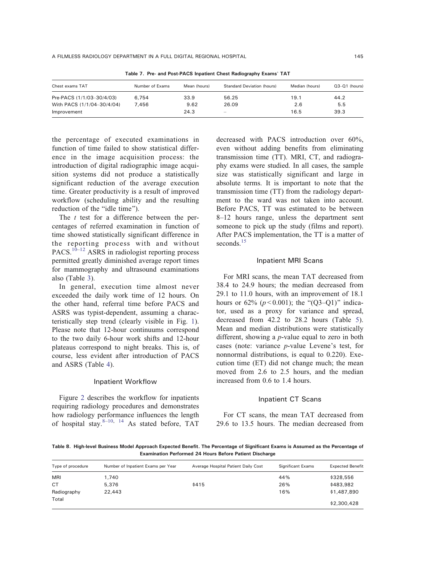<span id="page-5-0"></span>

| Chest exams TAT            | Number of Exams | Mean (hours) | <b>Standard Deviation (hours)</b> | Median (hours) | $Q3-Q1$ (hours) |
|----------------------------|-----------------|--------------|-----------------------------------|----------------|-----------------|
|                            |                 |              |                                   |                |                 |
| Pre-PACS (1/1/03-30/4/03)  | 6.754           | 33.9         | 56.25                             | 19.1           | 44.2            |
| With PACS (1/1/04-30/4/04) | 7.456           | 9.62         | 26.09                             | 2.6            | 5.5             |
| Improvement                |                 | 24.3         | $\qquad \qquad -$                 | 16.5           | 39.3            |

Table 7. Pre- and Post-PACS Inpatient Chest Radiography Exams\_ TAT

the percentage of executed examinations in function of time failed to show statistical difference in the image acquisition process: the introduction of digital radiographic image acquisition systems did not produce a statistically significant reduction of the average execution time. Greater productivity is a result of improved workflow (scheduling ability and the resulting reduction of the "idle time").

The *t* test for a difference between the percentages of referred examination in function of time showed statistically significant difference in the reporting process with and without PACS.<sup>[10](#page-8-0)-[12](#page-8-0)</sup> ASRS in radiologist reporting process permitted greatly diminished average report times for mammography and ultrasound examinations also (Table [3\)](#page-2-0).

In general, execution time almost never exceeded the daily work time of 12 hours. On the other hand, referral time before PACS and ASRS was typist-dependent, assuming a characteristically step trend (clearly visible in Fig. [1](#page-2-0)). Please note that 12-hour continuums correspond to the two daily 6-hour work shifts and 12-hour plateaus correspond to night breaks. This is, of course, less evident after introduction of PACS and ASRS (Table [4](#page-3-0)).

## Inpatient Workflow

Figure [2](#page-3-0) describes the workflow for inpatients requiring radiology procedures and demonstrates how radiology performance influences the length of hospital stay. $8-10$  $8-10$  $8-10$ ,  $14$  As stated before, TAT

decreased with PACS introduction over 60%, even without adding benefits from eliminating transmission time (TT). MRI, CT, and radiography exams were studied. In all cases, the sample size was statistically significant and large in absolute terms. It is important to note that the transmission time (TT) from the radiology department to the ward was not taken into account. Before PACS, TT was estimated to be between  $8-12$  hours range, unless the department sent someone to pick up the study (films and report). After PACS implementation, the TT is a matter of seconds.<sup>[15](#page-8-0)</sup>

#### Inpatient MRI Scans

For MRI scans, the mean TAT decreased from 38.4 to 24.9 hours; the median decreased from 29.1 to 11.0 hours, with an improvement of 18.1 hours or 62% ( $p < 0.001$ ); the "(Q3-Q1)" indicator, used as a proxy for variance and spread, decreased from 42.2 to 28.2 hours (Table [5](#page-4-0)). Mean and median distributions were statistically different, showing a p-value equal to zero in both cases (note: variance  $p$ -value Levene's test, for nonnormal distributions, is equal to 0.220). Execution time (ET) did not change much; the mean moved from 2.6 to 2.5 hours, and the median increased from 0.6 to 1.4 hours.

## Inpatient CT Scans

For CT scans, the mean TAT decreased from 29.6 to 13.5 hours. The median decreased from

Table 8. High-level Business Model Approach Expected Benefit. The Percentage of Significant Exams is Assumed as the Percentage of Examination Performed 24 Hours Before Patient Discharge

| Type of procedure | Number of Inpatient Exams per Year | Average Hospital Patient Daily Cost | <b>Significant Exams</b> | <b>Expected Benefit</b> |
|-------------------|------------------------------------|-------------------------------------|--------------------------|-------------------------|
| <b>MRI</b>        | 1,740                              |                                     | 44%                      | \$328,556               |
| <b>CT</b>         | 5.376                              | \$415                               | 26%                      | \$483,982               |
| Radiography       | 22,443                             |                                     | 16%                      | \$1,487,890             |
| Total             |                                    |                                     |                          | \$2,300,428             |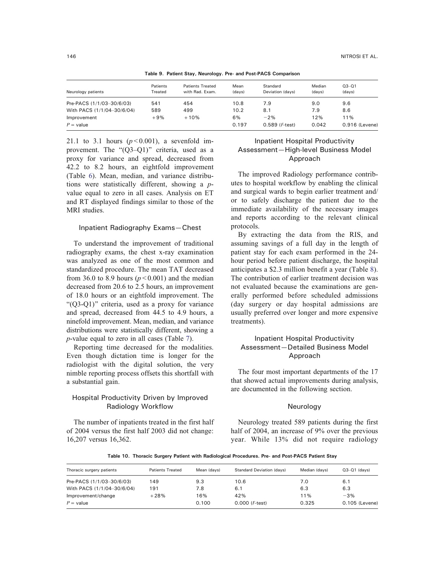<span id="page-6-0"></span>

| Table of Tationt otay, iteratoryy, The and Toot Fridd Companion. |                     |                                            |                |                              |                  |                     |
|------------------------------------------------------------------|---------------------|--------------------------------------------|----------------|------------------------------|------------------|---------------------|
| Neurology patients                                               | Patients<br>Treated | <b>Patients Treated</b><br>with Rad. Exam. | Mean<br>(days) | Standard<br>Deviation (davs) | Median<br>(davs) | $Q3 - Q1$<br>(days) |
| Pre-PACS (1/1/03-30/6/03)                                        | 541                 | 454                                        | 10.8           | 7.9                          | 9.0              | 9.6                 |
| With PACS (1/1/04-30/6/04)                                       | 589                 | 499                                        | 10.2           | 8.1                          | 7.9              | 8.6                 |
| Improvement                                                      | $+9%$               | $+10%$                                     | 6%             | $-2%$                        | 12%              | 11%                 |
| $P =$ value                                                      |                     |                                            | 0.197          | $0.589$ ( $F$ -test)         | 0.042            | 0.916 (Levene)      |

Table 9. Patient Stay, Neurology. Pre- and Post-PACS Comparison

21.1 to 3.1 hours  $(p<0.001)$ , a sevenfold improvement. The " $(Q3-Q1)$ " criteria, used as a proxy for variance and spread, decreased from 42.2 to 8.2 hours, an eightfold improvement (Table [6\)](#page-4-0). Mean, median, and variance distributions were statistically different, showing a pvalue equal to zero in all cases. Analysis on ET and RT displayed findings similar to those of the MRI studies.

## Inpatient Radiography Exams—Chest

To understand the improvement of traditional radiography exams, the chest x-ray examination was analyzed as one of the most common and standardized procedure. The mean TAT decreased from 36.0 to 8.9 hours ( $p < 0.001$ ) and the median decreased from 20.6 to 2.5 hours, an improvement of 18.0 hours or an eightfold improvement. The " $(Q3-Q1)$ " criteria, used as a proxy for variance and spread, decreased from 44.5 to 4.9 hours, a ninefold improvement. Mean, median, and variance distributions were statistically different, showing a p-value equal to zero in all cases (Table [7\)](#page-5-0).

Reporting time decreased for the modalities. Even though dictation time is longer for the radiologist with the digital solution, the very nimble reporting process offsets this shortfall with a substantial gain.

# Hospital Productivity Driven by Improved Radiology Workflow

The number of inpatients treated in the first half of 2004 versus the first half 2003 did not change: 16,207 versus 16,362.

# Inpatient Hospital Productivity Assessment—High-level Business Model Approach

The improved Radiology performance contributes to hospital workflow by enabling the clinical and surgical wards to begin earlier treatment and/ or to safely discharge the patient due to the immediate availability of the necessary images and reports according to the relevant clinical protocols.

By extracting the data from the RIS, and assuming savings of a full day in the length of patient stay for each exam performed in the 24 hour period before patient discharge, the hospital anticipates a \$2.3 million benefit a year (Table [8](#page-5-0)). The contribution of earlier treatment decision was not evaluated because the examinations are generally performed before scheduled admissions (day surgery or day hospital admissions are usually preferred over longer and more expensive treatments).

# Inpatient Hospital Productivity Assessment—Detailed Business Model Approach

The four most important departments of the 17 that showed actual improvements during analysis, are documented in the following section.

## Neurology

Neurology treated 589 patients during the first half of 2004, an increase of 9% over the previous year. While 13% did not require radiology

Table 10. Thoracic Surgery Patient with Radiological Procedures. Pre- and Post-PACS Patient Stay

| Thoracic surgery patients  | <b>Patients Treated</b> | Mean (davs) | <b>Standard Deviation (days)</b> | Median (davs) | $Q3-Q1$ (davs) |
|----------------------------|-------------------------|-------------|----------------------------------|---------------|----------------|
| Pre-PACS (1/1/03-30/6/03)  | 149                     | 9.3         | 10.6                             | 7.0           | 6.1            |
| With PACS (1/1/04-30/6/04) | 191                     | 7.8         | 6.1                              | 6.3           | 6.3            |
| Improvement/change         | $+28%$                  | 16%         | 42%                              | 11%           | $-3%$          |
| $P =$ value                |                         | 0.100       | $0.000$ ( <i>F</i> -test)        | 0.325         | 0.105 (Levene) |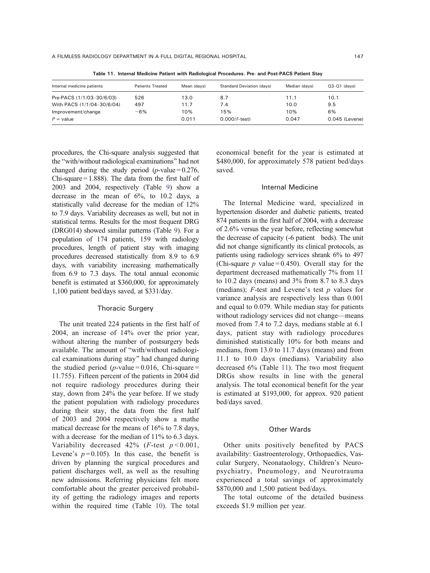| Internal medicine patients | <b>Patients Treated</b> | Mean (davs) | <b>Standard Deviation (days)</b> | Median (davs) | $Q3-Q1$ (davs)   |
|----------------------------|-------------------------|-------------|----------------------------------|---------------|------------------|
| Pre-PACS (1/1/03-30/6/03)  | 526                     | 13.0        | 8.7                              | 11.1          | 10.1             |
| With PACS (1/1/04-30/6/04) | 497                     | 11.7        | 7.4                              | 10.0          | 9.5              |
| Improvement/change         | $-6%$                   | 10%         | 15%                              | 10%           | 6%               |
| $P =$ value                |                         | 0.011       | $0.000/F-test$                   | 0.047         | $0.045$ (Levene) |

Table 11. Internal Medicine Patient with Radiological Procedures. Pre- and Post-PACS Patient Stay

procedures, the Chi-square analysis suggested that the "with/without radiological examinations" had not changed during the study period ( $p$ -value = 0.276, Chi-square  $= 1.888$ ). The data from the first half of 2003 and 2004, respectively (Table [9](#page-6-0)) show a decrease in the mean of 6%, to 10.2 days, a statistically valid decrease for the median of 12% to 7.9 days. Variability decreases as well, but not in statistical terms. Results for the most frequent DRG (DRG014) showed similar patterns (Table [9](#page-6-0)). For a population of 174 patients, 159 with radiology procedures, length of patient stay with imaging procedures decreased statistically from 8.9 to 6.9 days, with variability increasing mathematically from 6.9 to 7.3 days. The total annual economic benefit is estimated at \$360,000, for approximately 1,100 patient bed/days saved, at \$331/day.

## Thoracic Surgery

The unit treated 224 patients in the first half of 2004, an increase of 14% over the prior year, without altering the number of postsurgery beds available. The amount of "with/without radiological examinations during stay^ had changed during the studied period ( $p$ -value = 0.016, Chi-square = 11.755). Fifteen percent of the patients in 2004 did not require radiology procedures during their stay, down from 24% the year before. If we study the patient population with radiology procedures during their stay, the data from the first half of 2003 and 2004 respectively show a mathe matical decrease for the means of 16% to 7.8 days, with a decrease for the median of 11% to 6.3 days. Variability decreased  $42\%$  (*F*-test  $p < 0.001$ , Levene's  $p = 0.105$ ). In this case, the benefit is driven by planning the surgical procedures and patient discharges well, as well as the resulting new admissions. Referring physicians felt more comfortable about the greater perceived probability of getting the radiology images and reports within the required time (Table [10\)](#page-6-0). The total economical benefit for the year is estimated at \$480,000, for approximately 578 patient bed/days saved.

## Internal Medicine

The Internal Medicine ward, specialized in hypertension disorder and diabetic patients, treated 874 patients in the first half of 2004, with a decrease of 2.6% versus the year before, reflecting somewhat the decrease of capacity (-6 patient beds). The unit did not change significantly its clinical protocols, as patients using radiology services shrank 6% to 497 (Chi-square  $p$  value = 0.450). Overall stay for the department decreased mathematically 7% from 11 to 10.2 days (means) and 3% from 8.7 to 8.3 days (medians);  $F$ -test and Levene's test  $p$  values for variance analysis are respectively less than 0.001 and equal to 0.079. While median stay for patients without radiology services did not change—means moved from 7.4 to 7.2 days, medians stable at 6.1 days, patient stay with radiology procedures diminished statistically 10% for both means and medians, from 13.0 to 11.7 days (means) and from 11.1 to 10.0 days (medians). Variability also decreased 6% (Table 11). The two most frequent DRGs show results in line with the general analysis. The total economical benefit for the year is estimated at \$193,000, for approx. 920 patient bed/days saved.

#### Other Wards

Other units positively benefited by PACS availability: Gastroenterology, Orthopaedics, Vascular Surgery, Neonataology, Children's Neuropsychiatry, Pneumology, and Neurotrauma experienced a total savings of approximately \$870,000 and 1,500 patient bed/days.

The total outcome of the detailed business exceeds \$1.9 million per year.